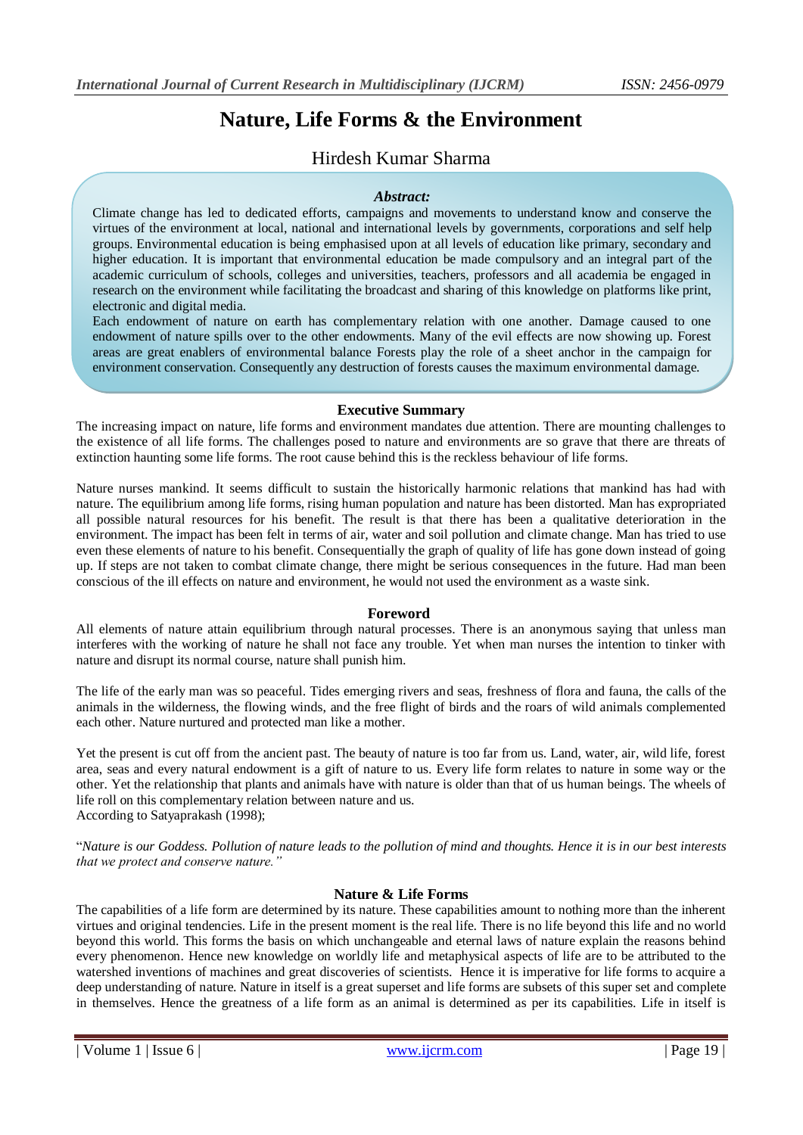# **Nature, Life Forms & the Environment**

# Hirdesh Kumar Sharma

#### *Abstract:*

Climate change has led to dedicated efforts, campaigns and movements to understand know and conserve the virtues of the environment at local, national and international levels by governments, corporations and self help groups. Environmental education is being emphasised upon at all levels of education like primary, secondary and higher education. It is important that environmental education be made compulsory and an integral part of the academic curriculum of schools, colleges and universities, teachers, professors and all academia be engaged in research on the environment while facilitating the broadcast and sharing of this knowledge on platforms like print, electronic and digital media.

Each endowment of nature on earth has complementary relation with one another. Damage caused to one endowment of nature spills over to the other endowments. Many of the evil effects are now showing up. Forest areas are great enablers of environmental balance Forests play the role of a sheet anchor in the campaign for environment conservation. Consequently any destruction of forests causes the maximum environmental damage.

#### **Executive Summary** imbalances being caused to nature. Examples of the set of these evil effects are excess rainfall, earthquake, thunder bolts, thunder bolts, thunder bolts, thunder bolts, thunder bolts, thunder bolts, thunder bolts, thunde

As a result of man trying to use technology that tries to distort nature in its processes, there are excessive

The increasing impact on nature, life forms and environment mandates due attention. There are mounting challenges to the existence of all life forms. The challenges posed to nature and environments are so grave that there are threats of extinction haunting some life forms. The root cause behind this is the reckless behaviour of life forms.

Nature nurses mankind. It seems difficult to sustain the historically harmonic relations that mankind has had with nature. The equilibrium among life forms, rising human population and nature has been distorted. Man has expropriated all possible natural resources for his benefit. The result is that there has been a qualitative deterioration in the environment. The impact has been felt in terms of air, water and soil pollution and climate change. Man has tried to use even these elements of nature to his benefit. Consequentially the graph of quality of life has gone down instead of going up. If steps are not taken to combat climate change, there might be serious consequences in the future. Had man been conscious of the ill effects on nature and environment, he would not used the environment as a waste sink.

#### **Foreword**

All elements of nature attain equilibrium through natural processes. There is an anonymous saying that unless man interferes with the working of nature he shall not face any trouble. Yet when man nurses the intention to tinker with nature and disrupt its normal course, nature shall punish him.

The life of the early man was so peaceful. Tides emerging rivers and seas, freshness of flora and fauna, the calls of the animals in the wilderness, the flowing winds, and the free flight of birds and the roars of wild animals complemented each other. Nature nurtured and protected man like a mother.

Yet the present is cut off from the ancient past. The beauty of nature is too far from us. Land, water, air, wild life, forest area, seas and every natural endowment is a gift of nature to us. Every life form relates to nature in some way or the other. Yet the relationship that plants and animals have with nature is older than that of us human beings. The wheels of life roll on this complementary relation between nature and us. According to Satyaprakash (1998);

"*Nature is our Goddess. Pollution of nature leads to the pollution of mind and thoughts. Hence it is in our best interests that we protect and conserve nature."*

#### **Nature & Life Forms**

The capabilities of a life form are determined by its nature. These capabilities amount to nothing more than the inherent virtues and original tendencies. Life in the present moment is the real life. There is no life beyond this life and no world beyond this world. This forms the basis on which unchangeable and eternal laws of nature explain the reasons behind every phenomenon. Hence new knowledge on worldly life and metaphysical aspects of life are to be attributed to the watershed inventions of machines and great discoveries of scientists. Hence it is imperative for life forms to acquire a deep understanding of nature. Nature in itself is a great superset and life forms are subsets of this super set and complete in themselves. Hence the greatness of a life form as an animal is determined as per its capabilities. Life in itself is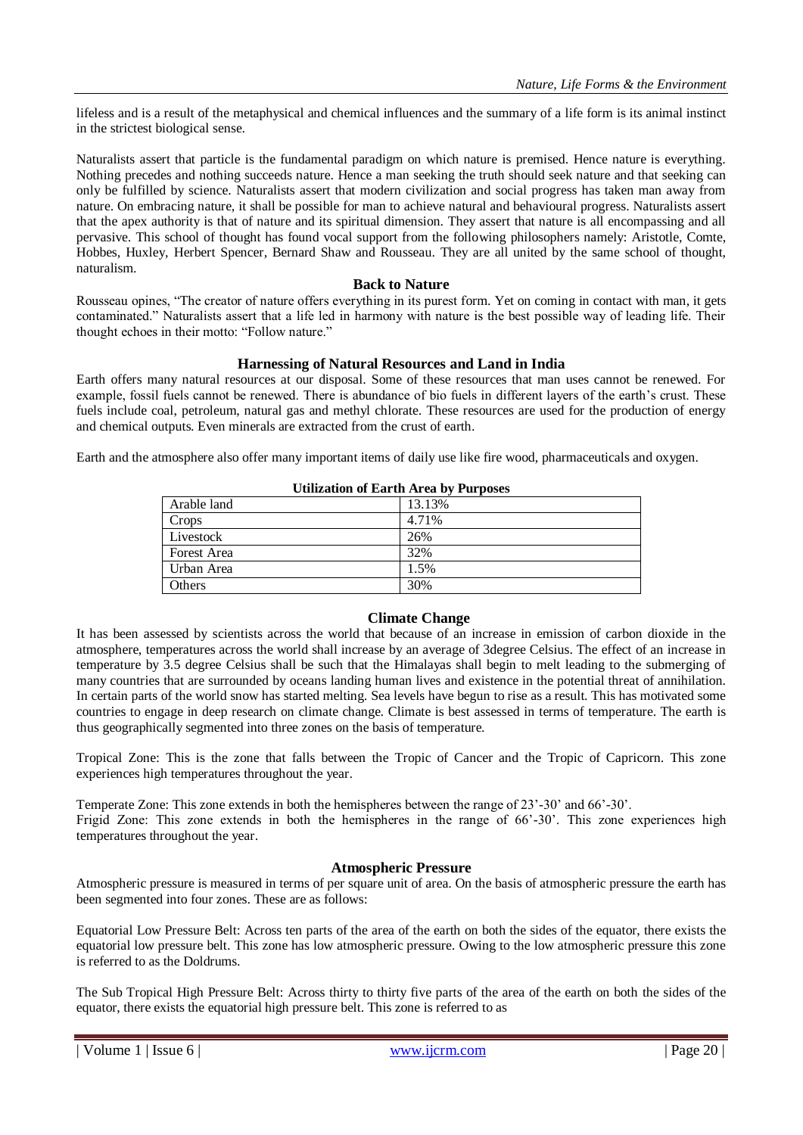lifeless and is a result of the metaphysical and chemical influences and the summary of a life form is its animal instinct in the strictest biological sense.

Naturalists assert that particle is the fundamental paradigm on which nature is premised. Hence nature is everything. Nothing precedes and nothing succeeds nature. Hence a man seeking the truth should seek nature and that seeking can only be fulfilled by science. Naturalists assert that modern civilization and social progress has taken man away from nature. On embracing nature, it shall be possible for man to achieve natural and behavioural progress. Naturalists assert that the apex authority is that of nature and its spiritual dimension. They assert that nature is all encompassing and all pervasive. This school of thought has found vocal support from the following philosophers namely: Aristotle, Comte, Hobbes, Huxley, Herbert Spencer, Bernard Shaw and Rousseau. They are all united by the same school of thought, naturalism.

#### **Back to Nature**

Rousseau opines, "The creator of nature offers everything in its purest form. Yet on coming in contact with man, it gets contaminated." Naturalists assert that a life led in harmony with nature is the best possible way of leading life. Their thought echoes in their motto: "Follow nature."

#### **Harnessing of Natural Resources and Land in India**

Earth offers many natural resources at our disposal. Some of these resources that man uses cannot be renewed. For example, fossil fuels cannot be renewed. There is abundance of bio fuels in different layers of the earth's crust. These fuels include coal, petroleum, natural gas and methyl chlorate. These resources are used for the production of energy and chemical outputs. Even minerals are extracted from the crust of earth.

Earth and the atmosphere also offer many important items of daily use like fire wood, pharmaceuticals and oxygen.

| Utilization of Earth Area by Furposes |        |
|---------------------------------------|--------|
| Arable land                           | 13.13% |
| Crops                                 | 4.71%  |
| Livestock                             | 26%    |
| Forest Area                           | 32%    |
| Urban Area                            | 1.5%   |
| Others                                | 30%    |

# **Utilization of Earth Area by Purposes**

# **Climate Change**

It has been assessed by scientists across the world that because of an increase in emission of carbon dioxide in the atmosphere, temperatures across the world shall increase by an average of 3degree Celsius. The effect of an increase in temperature by 3.5 degree Celsius shall be such that the Himalayas shall begin to melt leading to the submerging of many countries that are surrounded by oceans landing human lives and existence in the potential threat of annihilation. In certain parts of the world snow has started melting. Sea levels have begun to rise as a result. This has motivated some countries to engage in deep research on climate change. Climate is best assessed in terms of temperature. The earth is thus geographically segmented into three zones on the basis of temperature.

Tropical Zone: This is the zone that falls between the Tropic of Cancer and the Tropic of Capricorn. This zone experiences high temperatures throughout the year.

Temperate Zone: This zone extends in both the hemispheres between the range of 23'-30' and 66'-30'. Frigid Zone: This zone extends in both the hemispheres in the range of 66'-30'. This zone experiences high temperatures throughout the year.

#### **Atmospheric Pressure**

Atmospheric pressure is measured in terms of per square unit of area. On the basis of atmospheric pressure the earth has been segmented into four zones. These are as follows:

Equatorial Low Pressure Belt: Across ten parts of the area of the earth on both the sides of the equator, there exists the equatorial low pressure belt. This zone has low atmospheric pressure. Owing to the low atmospheric pressure this zone is referred to as the Doldrums.

The Sub Tropical High Pressure Belt: Across thirty to thirty five parts of the area of the earth on both the sides of the equator, there exists the equatorial high pressure belt. This zone is referred to as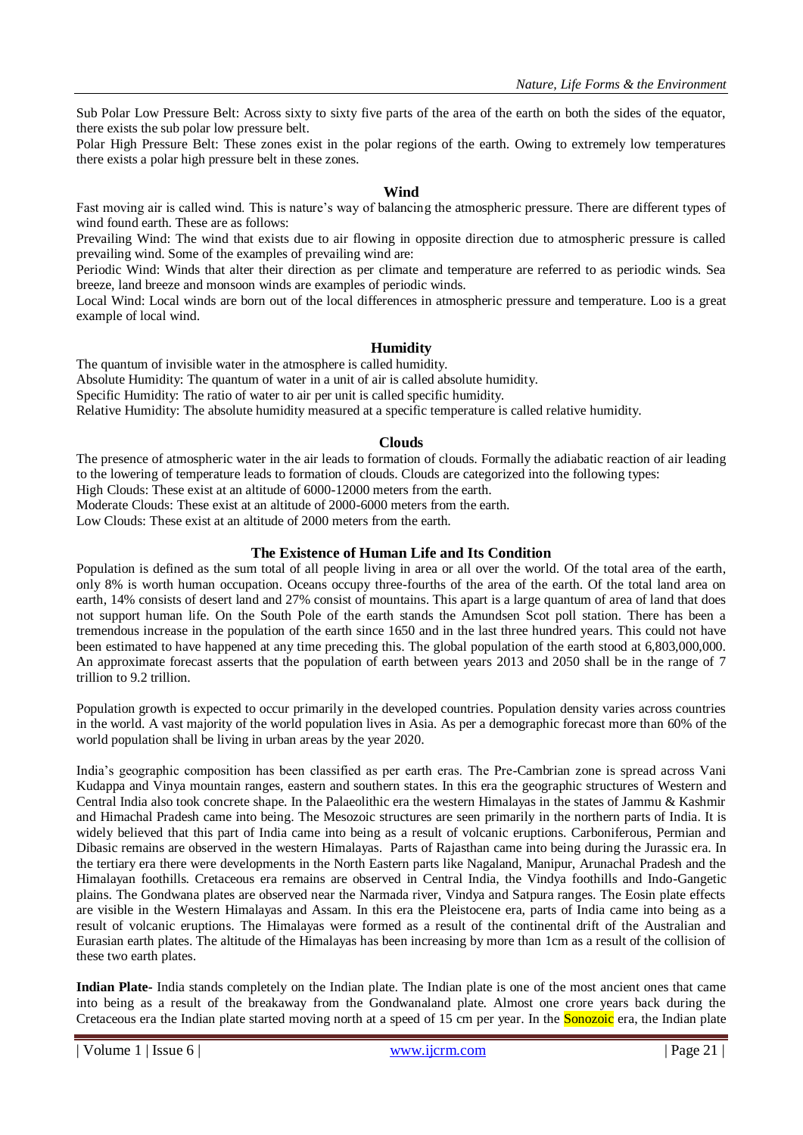Sub Polar Low Pressure Belt: Across sixty to sixty five parts of the area of the earth on both the sides of the equator, there exists the sub polar low pressure belt.

Polar High Pressure Belt: These zones exist in the polar regions of the earth. Owing to extremely low temperatures there exists a polar high pressure belt in these zones.

#### **Wind**

Fast moving air is called wind. This is nature's way of balancing the atmospheric pressure. There are different types of wind found earth. These are as follows:

Prevailing Wind: The wind that exists due to air flowing in opposite direction due to atmospheric pressure is called prevailing wind. Some of the examples of prevailing wind are:

Periodic Wind: Winds that alter their direction as per climate and temperature are referred to as periodic winds. Sea breeze, land breeze and monsoon winds are examples of periodic winds.

Local Wind: Local winds are born out of the local differences in atmospheric pressure and temperature. Loo is a great example of local wind.

### **Humidity**

The quantum of invisible water in the atmosphere is called humidity.

Absolute Humidity: The quantum of water in a unit of air is called absolute humidity.

Specific Humidity: The ratio of water to air per unit is called specific humidity.

Relative Humidity: The absolute humidity measured at a specific temperature is called relative humidity.

### **Clouds**

The presence of atmospheric water in the air leads to formation of clouds. Formally the adiabatic reaction of air leading to the lowering of temperature leads to formation of clouds. Clouds are categorized into the following types:

High Clouds: These exist at an altitude of 6000-12000 meters from the earth.

Moderate Clouds: These exist at an altitude of 2000-6000 meters from the earth.

Low Clouds: These exist at an altitude of 2000 meters from the earth.

## **The Existence of Human Life and Its Condition**

Population is defined as the sum total of all people living in area or all over the world. Of the total area of the earth, only 8% is worth human occupation. Oceans occupy three-fourths of the area of the earth. Of the total land area on earth, 14% consists of desert land and 27% consist of mountains. This apart is a large quantum of area of land that does not support human life. On the South Pole of the earth stands the Amundsen Scot poll station. There has been a tremendous increase in the population of the earth since 1650 and in the last three hundred years. This could not have been estimated to have happened at any time preceding this. The global population of the earth stood at 6,803,000,000. An approximate forecast asserts that the population of earth between years 2013 and 2050 shall be in the range of 7 trillion to 9.2 trillion.

Population growth is expected to occur primarily in the developed countries. Population density varies across countries in the world. A vast majority of the world population lives in Asia. As per a demographic forecast more than 60% of the world population shall be living in urban areas by the year 2020.

India's geographic composition has been classified as per earth eras. The Pre-Cambrian zone is spread across Vani Kudappa and Vinya mountain ranges, eastern and southern states. In this era the geographic structures of Western and Central India also took concrete shape. In the Palaeolithic era the western Himalayas in the states of Jammu & Kashmir and Himachal Pradesh came into being. The Mesozoic structures are seen primarily in the northern parts of India. It is widely believed that this part of India came into being as a result of volcanic eruptions. Carboniferous, Permian and Dibasic remains are observed in the western Himalayas. Parts of Rajasthan came into being during the Jurassic era. In the tertiary era there were developments in the North Eastern parts like Nagaland, Manipur, Arunachal Pradesh and the Himalayan foothills. Cretaceous era remains are observed in Central India, the Vindya foothills and Indo-Gangetic plains. The Gondwana plates are observed near the Narmada river, Vindya and Satpura ranges. The Eosin plate effects are visible in the Western Himalayas and Assam. In this era the Pleistocene era, parts of India came into being as a result of volcanic eruptions. The Himalayas were formed as a result of the continental drift of the Australian and Eurasian earth plates. The altitude of the Himalayas has been increasing by more than 1cm as a result of the collision of these two earth plates.

**Indian Plate-** India stands completely on the Indian plate. The Indian plate is one of the most ancient ones that came into being as a result of the breakaway from the Gondwanaland plate. Almost one crore years back during the Cretaceous era the Indian plate started moving north at a speed of 15 cm per year. In the **Sonozoic** era, the Indian plate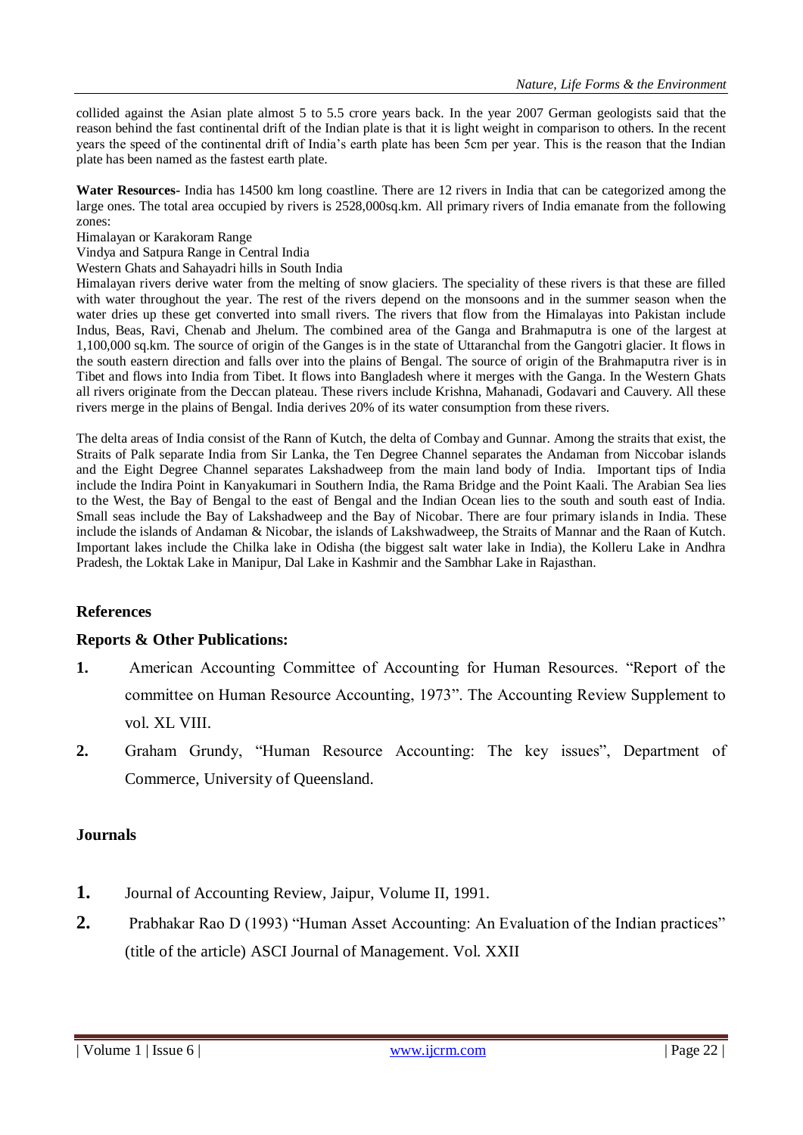collided against the Asian plate almost 5 to 5.5 crore years back. In the year 2007 German geologists said that the reason behind the fast continental drift of the Indian plate is that it is light weight in comparison to others. In the recent years the speed of the continental drift of India's earth plate has been 5cm per year. This is the reason that the Indian plate has been named as the fastest earth plate.

**Water Resources-** India has 14500 km long coastline. There are 12 rivers in India that can be categorized among the large ones. The total area occupied by rivers is 2528,000sq.km. All primary rivers of India emanate from the following zones:

Himalayan or Karakoram Range

Vindya and Satpura Range in Central India

Western Ghats and Sahayadri hills in South India

Himalayan rivers derive water from the melting of snow glaciers. The speciality of these rivers is that these are filled with water throughout the year. The rest of the rivers depend on the monsoons and in the summer season when the water dries up these get converted into small rivers. The rivers that flow from the Himalayas into Pakistan include Indus, Beas, Ravi, Chenab and Jhelum. The combined area of the Ganga and Brahmaputra is one of the largest at 1,100,000 sq.km. The source of origin of the Ganges is in the state of Uttaranchal from the Gangotri glacier. It flows in the south eastern direction and falls over into the plains of Bengal. The source of origin of the Brahmaputra river is in Tibet and flows into India from Tibet. It flows into Bangladesh where it merges with the Ganga. In the Western Ghats all rivers originate from the Deccan plateau. These rivers include Krishna, Mahanadi, Godavari and Cauvery. All these rivers merge in the plains of Bengal. India derives 20% of its water consumption from these rivers.

The delta areas of India consist of the Rann of Kutch, the delta of Combay and Gunnar. Among the straits that exist, the Straits of Palk separate India from Sir Lanka, the Ten Degree Channel separates the Andaman from Niccobar islands and the Eight Degree Channel separates Lakshadweep from the main land body of India. Important tips of India include the Indira Point in Kanyakumari in Southern India, the Rama Bridge and the Point Kaali. The Arabian Sea lies to the West, the Bay of Bengal to the east of Bengal and the Indian Ocean lies to the south and south east of India. Small seas include the Bay of Lakshadweep and the Bay of Nicobar. There are four primary islands in India. These include the islands of Andaman & Nicobar, the islands of Lakshwadweep, the Straits of Mannar and the Raan of Kutch. Important lakes include the Chilka lake in Odisha (the biggest salt water lake in India), the Kolleru Lake in Andhra Pradesh, the Loktak Lake in Manipur, Dal Lake in Kashmir and the Sambhar Lake in Rajasthan.

# **References**

# **Reports & Other Publications:**

- **1.** American Accounting Committee of Accounting for Human Resources. "Report of the committee on Human Resource Accounting, 1973". The Accounting Review Supplement to vol. XL VIII.
- **2.** Graham Grundy, "Human Resource Accounting: The key issues", Department of Commerce, University of Queensland.

# **Journals**

- **1.** Journal of Accounting Review, Jaipur, Volume II, 1991.
- **2.** Prabhakar Rao D (1993) "Human Asset Accounting: An Evaluation of the Indian practices" (title of the article) ASCI Journal of Management. Vol. XXII